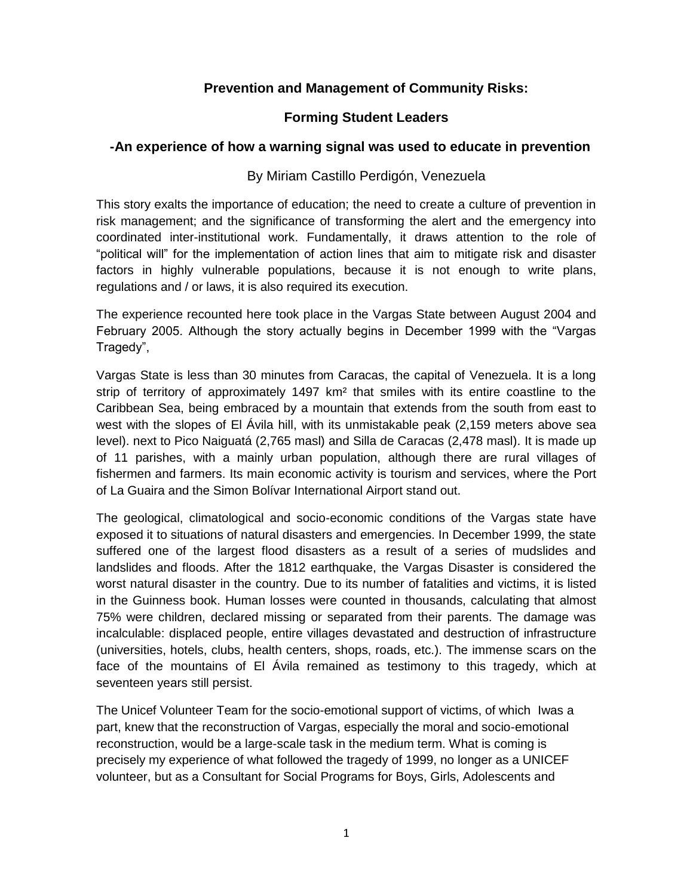# **Prevention and Management of Community Risks:**

## **Forming Student Leaders**

### **-An experience of how a warning signal was used to educate in prevention**

### By Miriam Castillo Perdigón, Venezuela

This story exalts the importance of education; the need to create a culture of prevention in risk management; and the significance of transforming the alert and the emergency into coordinated inter-institutional work. Fundamentally, it draws attention to the role of "political will" for the implementation of action lines that aim to mitigate risk and disaster factors in highly vulnerable populations, because it is not enough to write plans, regulations and / or laws, it is also required its execution.

The experience recounted here took place in the Vargas State between August 2004 and February 2005. Although the story actually begins in December 1999 with the "Vargas Tragedy",

Vargas State is less than 30 minutes from Caracas, the capital of Venezuela. It is a long strip of territory of approximately 1497 km² that smiles with its entire coastline to the Caribbean Sea, being embraced by a mountain that extends from the south from east to west with the slopes of El Ávila hill, with its unmistakable peak (2,159 meters above sea level). next to Pico Naiguatá (2,765 masl) and Silla de Caracas (2,478 masl). It is made up of 11 parishes, with a mainly urban population, although there are rural villages of fishermen and farmers. Its main economic activity is tourism and services, where the Port of La Guaira and the Simon Bolívar International Airport stand out.

The geological, climatological and socio-economic conditions of the Vargas state have exposed it to situations of natural disasters and emergencies. In December 1999, the state suffered one of the largest flood disasters as a result of a series of mudslides and landslides and floods. After the 1812 earthquake, the Vargas Disaster is considered the worst natural disaster in the country. Due to its number of fatalities and victims, it is listed in the Guinness book. Human losses were counted in thousands, calculating that almost 75% were children, declared missing or separated from their parents. The damage was incalculable: displaced people, entire villages devastated and destruction of infrastructure (universities, hotels, clubs, health centers, shops, roads, etc.). The immense scars on the face of the mountains of El Ávila remained as testimony to this tragedy, which at seventeen years still persist.

The Unicef Volunteer Team for the socio-emotional support of victims, of which Iwas a part, knew that the reconstruction of Vargas, especially the moral and socio-emotional reconstruction, would be a large-scale task in the medium term. What is coming is precisely my experience of what followed the tragedy of 1999, no longer as a UNICEF volunteer, but as a Consultant for Social Programs for Boys, Girls, Adolescents and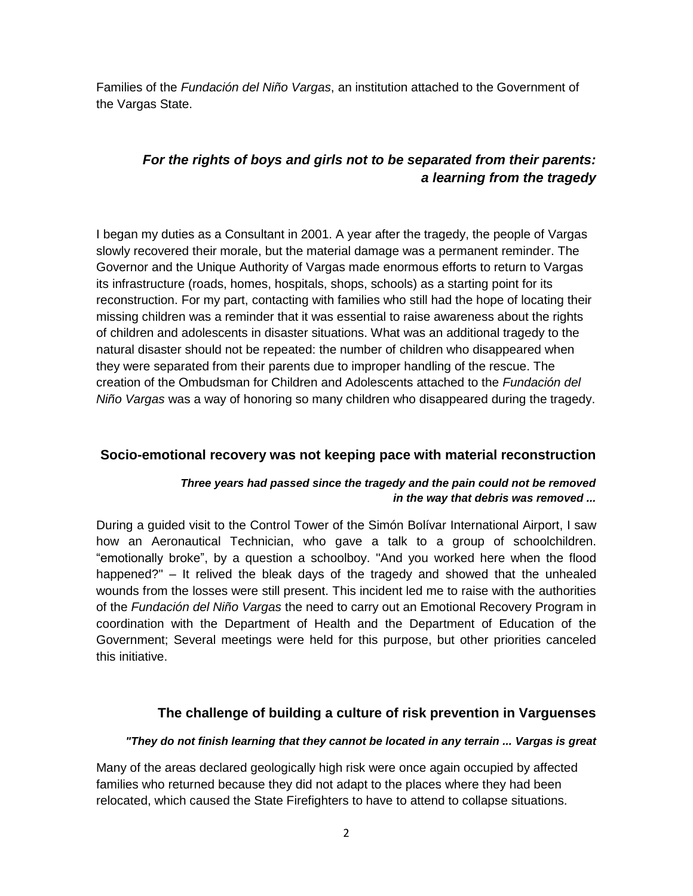Families of the *Fundación del Niño Vargas*, an institution attached to the Government of the Vargas State.

# *For the rights of boys and girls not to be separated from their parents: a learning from the tragedy*

I began my duties as a Consultant in 2001. A year after the tragedy, the people of Vargas slowly recovered their morale, but the material damage was a permanent reminder. The Governor and the Unique Authority of Vargas made enormous efforts to return to Vargas its infrastructure (roads, homes, hospitals, shops, schools) as a starting point for its reconstruction. For my part, contacting with families who still had the hope of locating their missing children was a reminder that it was essential to raise awareness about the rights of children and adolescents in disaster situations. What was an additional tragedy to the natural disaster should not be repeated: the number of children who disappeared when they were separated from their parents due to improper handling of the rescue. The creation of the Ombudsman for Children and Adolescents attached to the *Fundación del Niño Vargas* was a way of honoring so many children who disappeared during the tragedy.

### **Socio-emotional recovery was not keeping pace with material reconstruction**

### *Three years had passed since the tragedy and the pain could not be removed in the way that debris was removed ...*

During a guided visit to the Control Tower of the Simón Bolívar International Airport, I saw how an Aeronautical Technician, who gave a talk to a group of schoolchildren. "emotionally broke", by a question a schoolboy. "And you worked here when the flood happened?" – It relived the bleak days of the tragedy and showed that the unhealed wounds from the losses were still present. This incident led me to raise with the authorities of the *Fundación del Niño Vargas* the need to carry out an Emotional Recovery Program in coordination with the Department of Health and the Department of Education of the Government; Several meetings were held for this purpose, but other priorities canceled this initiative.

## **The challenge of building a culture of risk prevention in Varguenses**

#### *"They do not finish learning that they cannot be located in any terrain ... Vargas is great*

Many of the areas declared geologically high risk were once again occupied by affected families who returned because they did not adapt to the places where they had been relocated, which caused the State Firefighters to have to attend to collapse situations.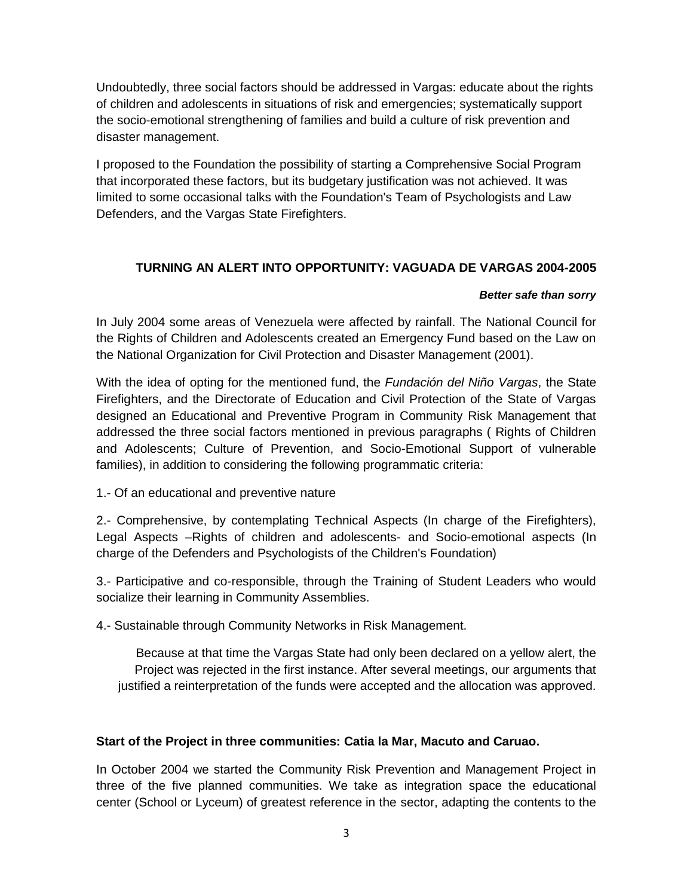Undoubtedly, three social factors should be addressed in Vargas: educate about the rights of children and adolescents in situations of risk and emergencies; systematically support the socio-emotional strengthening of families and build a culture of risk prevention and disaster management.

I proposed to the Foundation the possibility of starting a Comprehensive Social Program that incorporated these factors, but its budgetary justification was not achieved. It was limited to some occasional talks with the Foundation's Team of Psychologists and Law Defenders, and the Vargas State Firefighters.

### **TURNING AN ALERT INTO OPPORTUNITY: VAGUADA DE VARGAS 2004-2005**

#### *Better safe than sorry*

In July 2004 some areas of Venezuela were affected by rainfall. The National Council for the Rights of Children and Adolescents created an Emergency Fund based on the Law on the National Organization for Civil Protection and Disaster Management (2001).

With the idea of opting for the mentioned fund, the *Fundación del Niño Vargas*, the State Firefighters, and the Directorate of Education and Civil Protection of the State of Vargas designed an Educational and Preventive Program in Community Risk Management that addressed the three social factors mentioned in previous paragraphs ( Rights of Children and Adolescents; Culture of Prevention, and Socio-Emotional Support of vulnerable families), in addition to considering the following programmatic criteria:

1.- Of an educational and preventive nature

2.- Comprehensive, by contemplating Technical Aspects (In charge of the Firefighters), Legal Aspects –Rights of children and adolescents- and Socio-emotional aspects (In charge of the Defenders and Psychologists of the Children's Foundation)

3.- Participative and co-responsible, through the Training of Student Leaders who would socialize their learning in Community Assemblies.

4.- Sustainable through Community Networks in Risk Management.

Because at that time the Vargas State had only been declared on a yellow alert, the Project was rejected in the first instance. After several meetings, our arguments that justified a reinterpretation of the funds were accepted and the allocation was approved.

### **Start of the Project in three communities: Catia la Mar, Macuto and Caruao.**

In October 2004 we started the Community Risk Prevention and Management Project in three of the five planned communities. We take as integration space the educational center (School or Lyceum) of greatest reference in the sector, adapting the contents to the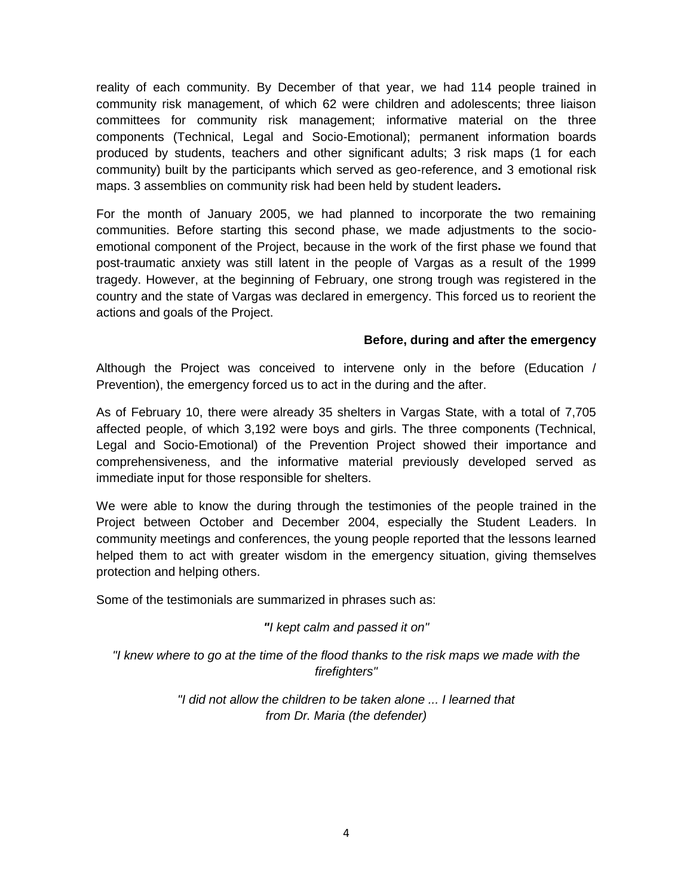reality of each community. By December of that year, we had 114 people trained in community risk management, of which 62 were children and adolescents; three liaison committees for community risk management; informative material on the three components (Technical, Legal and Socio-Emotional); permanent information boards produced by students, teachers and other significant adults; 3 risk maps (1 for each community) built by the participants which served as geo-reference, and 3 emotional risk maps. 3 assemblies on community risk had been held by student leaders**.**

For the month of January 2005, we had planned to incorporate the two remaining communities. Before starting this second phase, we made adjustments to the socioemotional component of the Project, because in the work of the first phase we found that post-traumatic anxiety was still latent in the people of Vargas as a result of the 1999 tragedy. However, at the beginning of February, one strong trough was registered in the country and the state of Vargas was declared in emergency. This forced us to reorient the actions and goals of the Project.

#### **Before, during and after the emergency**

Although the Project was conceived to intervene only in the before (Education / Prevention), the emergency forced us to act in the during and the after.

As of February 10, there were already 35 shelters in Vargas State, with a total of 7,705 affected people, of which 3,192 were boys and girls. The three components (Technical, Legal and Socio-Emotional) of the Prevention Project showed their importance and comprehensiveness, and the informative material previously developed served as immediate input for those responsible for shelters.

We were able to know the during through the testimonies of the people trained in the Project between October and December 2004, especially the Student Leaders. In community meetings and conferences, the young people reported that the lessons learned helped them to act with greater wisdom in the emergency situation, giving themselves protection and helping others.

Some of the testimonials are summarized in phrases such as:

*"I kept calm and passed it on"*

*"I knew where to go at the time of the flood thanks to the risk maps we made with the firefighters"*

> *"I did not allow the children to be taken alone ... I learned that from Dr. Maria (the defender)*